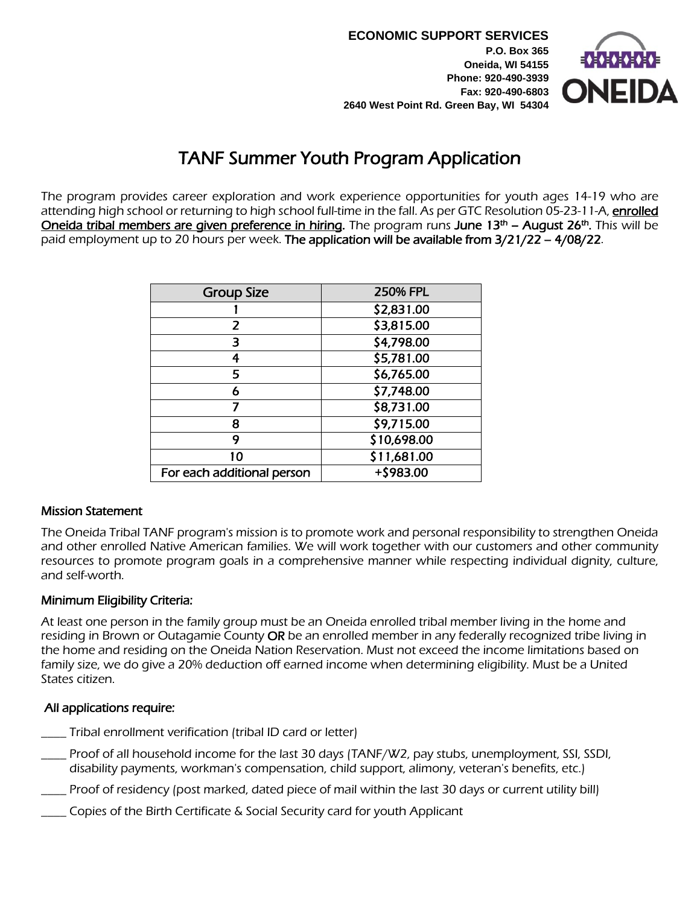**ECONOMIC SUPPORT SERVICES P.O. Box 365 Oneida, WI 54155 Phone: 920-490-3939 Fax: 920-490-6803 2640 West Point Rd. Green Bay, WI 54304**



# TANF Summer Youth Program Application

 The program provides career exploration and work experience opportunities for youth ages 14-19 who are attending high school or returning to high school full-time in the fall. As per GTC Resolution 05-23-11-A, enrolled Oneida tribal members are given preference in hiring. The program runs June 13<sup>th</sup> – August 26<sup>th</sup>. This will be paid employment up to 20 hours per week. The application will be available from 3/21/22 – 4/08/22.

| <b>Group Size</b>          | <b>250% FPL</b> |
|----------------------------|-----------------|
|                            | \$2,831.00      |
| 2                          | \$3,815.00      |
| З                          | \$4,798.00      |
| 4                          | \$5,781.00      |
| 5                          | \$6,765.00      |
| 6                          | \$7,748.00      |
| 7                          | \$8,731.00      |
| 8                          | \$9,715.00      |
| 9                          | \$10,698.00     |
| 10                         | \$11,681.00     |
| For each additional person | +\$983.00       |

### Mission Statement

The Oneida Tribal TANF program's mission is to promote work and personal responsibility to strengthen Oneida and other enrolled Native American families. We will work together with our customers and other community resources to promote program goals in a comprehensive manner while respecting individual dignity, culture, and self-worth.

### Minimum Eligibility Criteria:

At least one person in the family group must be an Oneida enrolled tribal member living in the home and residing in Brown or Outagamie County OR be an enrolled member in any federally recognized tribe living in the home and residing on the Oneida Nation Reservation. Must not exceed the income limitations based on family size, we do give a 20% deduction off earned income when determining eligibility. Must be a United States citizen.

### All applications require:

- \_\_\_\_ Tribal enrollment verification (tribal ID card or letter)
- \_\_\_\_ Proof of all household income for the last 30 days (TANF/W2, pay stubs, unemployment, SSI, SSDI, disability payments, workman's compensation, child support, alimony, veteran's benefits, etc.)
- \_\_\_\_ Proof of residency (post marked, dated piece of mail within the last 30 days or current utility bill)
- \_\_\_\_ Copies of the Birth Certificate & Social Security card for youth Applicant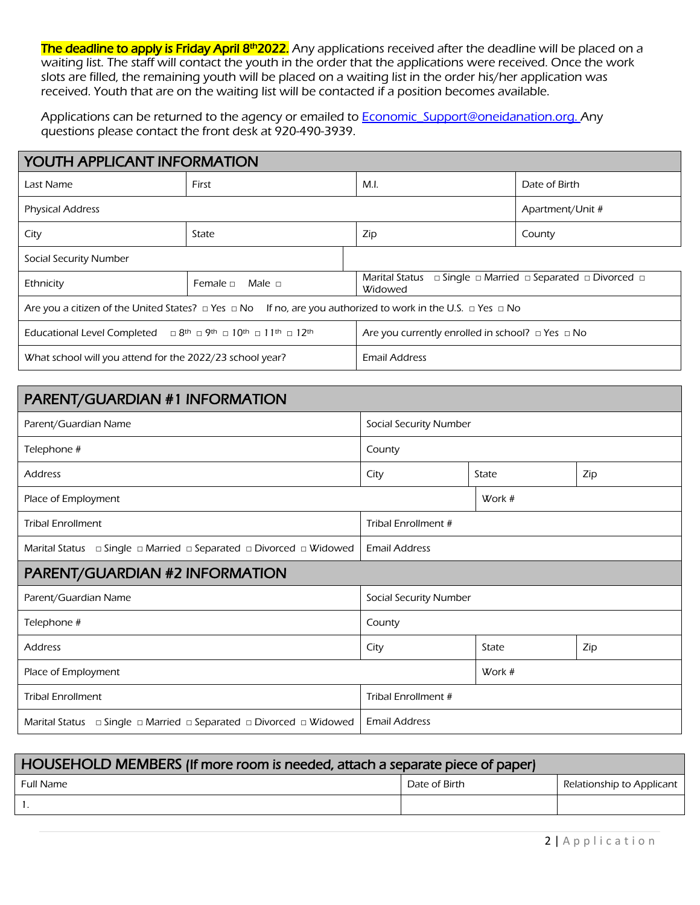The deadline to apply is Friday April 8<sup>th</sup>2022. Any applications received after the deadline will be placed on a waiting list. The staff will contact the youth in the order that the applications were received. Once the work slots are filled, the remaining youth will be placed on a waiting list in the order his/her application was received. Youth that are on the waiting list will be contacted if a position becomes available.

Applications can be returned to the agency or emailed to **Economic** Support@oneidanation.org. Any questions please contact the front desk at 920-490-3939.

| <b>YOUTH APPLICANT INFORMATION</b>                                                                                                                          |                                                                  |                                                            |                                                                      |  |  |
|-------------------------------------------------------------------------------------------------------------------------------------------------------------|------------------------------------------------------------------|------------------------------------------------------------|----------------------------------------------------------------------|--|--|
| Last Name                                                                                                                                                   | First                                                            | M.I.                                                       | Date of Birth                                                        |  |  |
| <b>Physical Address</b>                                                                                                                                     |                                                                  | Apartment/Unit #                                           |                                                                      |  |  |
| City                                                                                                                                                        | State                                                            | Zip                                                        | County                                                               |  |  |
| Social Security Number                                                                                                                                      |                                                                  |                                                            |                                                                      |  |  |
| Ethnicity                                                                                                                                                   | <b>Marital Status</b><br>Male $\Box$<br>Female $\Box$<br>Widowed |                                                            | $\Box$ Single $\Box$ Married $\Box$ Separated $\Box$ Divorced $\Box$ |  |  |
| Are you a citizen of the United States? $\Box$ Yes $\Box$ No If no, are you authorized to work in the U.S. $\Box$ Yes $\Box$ No                             |                                                                  |                                                            |                                                                      |  |  |
| $\Box$ 8 <sup>th</sup> $\Box$ 9 <sup>th</sup> $\Box$ 10 <sup>th</sup> $\Box$ 11 <sup>th</sup> $\Box$ 12 <sup>th</sup><br><b>Educational Level Completed</b> |                                                                  | Are you currently enrolled in school? $\Box$ Yes $\Box$ No |                                                                      |  |  |
| What school will you attend for the 2022/23 school year?                                                                                                    |                                                                  | <b>Email Address</b>                                       |                                                                      |  |  |

| PARENT/GUARDIAN #1 INFORMATION                                               |                               |       |     |  |
|------------------------------------------------------------------------------|-------------------------------|-------|-----|--|
| Parent/Guardian Name                                                         | <b>Social Security Number</b> |       |     |  |
| Telephone #                                                                  | County                        |       |     |  |
| <b>Address</b>                                                               | City                          | State | Zip |  |
| Place of Employment                                                          | Work #                        |       |     |  |
| <b>Tribal Enrollment</b>                                                     | Tribal Enrollment #           |       |     |  |
| □ Single □ Married □ Separated □ Divorced □ Widowed<br>Marital Status        | <b>Email Address</b>          |       |     |  |
| PARENT/GUARDIAN #2 INFORMATION                                               |                               |       |     |  |
| Parent/Guardian Name                                                         | Social Security Number        |       |     |  |
| Telephone #                                                                  | County                        |       |     |  |
| <b>Address</b>                                                               | City                          | State | Zip |  |
| Place of Employment                                                          | Work #                        |       |     |  |
| <b>Tribal Enrollment</b>                                                     | Tribal Enrollment #           |       |     |  |
| □ Single □ Married □ Separated □ Divorced □ Widowed<br><b>Marital Status</b> | <b>Email Address</b>          |       |     |  |

| HOUSEHOLD MEMBERS (If more room is needed, attach a separate piece of paper) |               |                           |  |
|------------------------------------------------------------------------------|---------------|---------------------------|--|
| Full Name                                                                    | Date of Birth | Relationship to Applicant |  |
|                                                                              |               |                           |  |